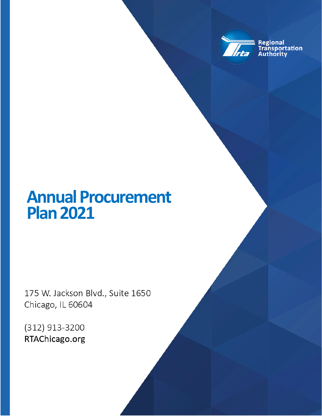

Regional<br>Transportation<br>Authority

## **Annual Procurement Plan 2021**

175 W. Jackson Blvd., Suite 1650 Chicago, IL 60604

> **Annual Processing Annual Processing Annual Processing Annual Processing Annual Processing Annual Processing Page 1 of 3**  $\mathbb{R}$  **, the 3**  $\mathbb{R}$  **plan 3**  $\mathbb{R}$  **plan 3**  $\mathbb{R}$  **plan 3**  $\mathbb{R}$  **plan 3**  $\mathbb{R}$  **plan 3**  $\mathbb{R}$

(312) 913-3200 RTAChicago.org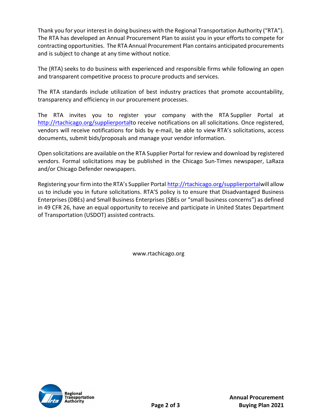Thank you for your interest in doing business with the Regional Transportation Authority ("RTA"). The RTA has developed an Annual Procurement Plan to assist you in your efforts to compete for contracting opportunities. The RTA Annual Procurement Plan contains anticipated procurements and is subject to change at any time without notice.

The (RTA) seeks to do business with experienced and responsible firms while following an open and transparent competitive process to procure products and services.

The RTA standards include utilization of best industry practices that promote accountability, transparency and efficiency in our procurement processes.

The RTA invites you to register your company with the RTA Supplier Portal at http://rtachicago.org/supplierportalto receive notifications on all solicitations. Once registered, vendors will receive notifications for bids by e-mail, be able to view RTA's solicitations, access documents, submit bids/proposals and manage your vendor information.

Open solicitations are available on the RTA Supplier Portal for review and download by registered vendors. Formal solicitations may be published in the Chicago Sun‐Times newspaper, LaRaza and/or Chicago Defender newspapers.

Registering your firm into the RTA's Supplier Portal http://rtachicago.org/supplierportalwill allow us to include you in future solicitations. RTA'S policy is to ensure that Disadvantaged Business Enterprises (DBEs) and Small Business Enterprises (SBEs or "small business concerns") as defined in 49 CFR 26, have an equal opportunity to receive and participate in United States Department of Transportation (USDOT) assisted contracts.

www.rtachicago.org